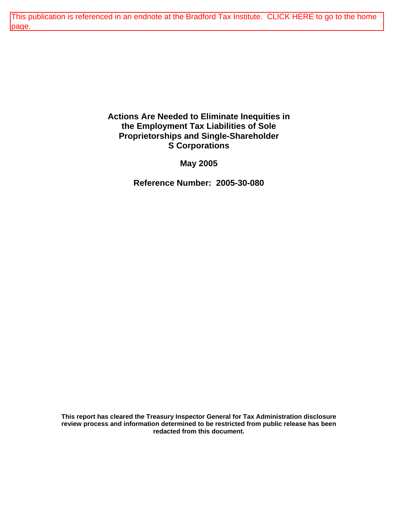[This publication is referenced in an endnote at the Bradford Tax Institute. CLICK HERE to go to the home](http://bradfordtaxinstitute.com/index1.aspx)  page.

## **Actions Are Needed to Eliminate Inequities in the Employment Tax Liabilities of Sole Proprietorships and Single-Shareholder S Corporations**

**May 2005** 

**Reference Number: 2005-30-080** 

**This report has cleared the Treasury Inspector General for Tax Administration disclosure review process and information determined to be restricted from public release has been redacted from this document.**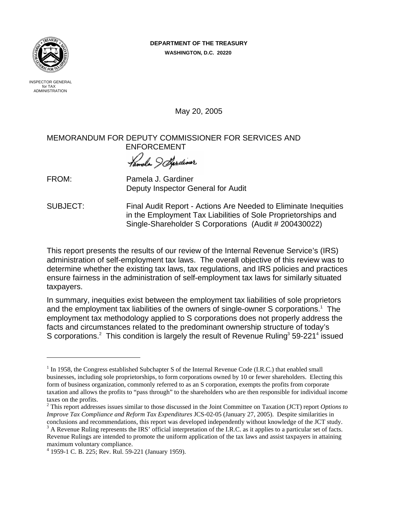### **DEPARTMENT OF THE TREASURY**

**WASHINGTON, D.C. 20220** 



 INSPECTOR GENERAL for TAX ADMINISTRATION

May 20, 2005

## MEMORANDUM FOR DEPUTY COMMISSIONER FOR SERVICES AND ENFORCEMENT

*Famela J. Sardiner*<br>FROM: Pamela J. Gardiner

1

Deputy Inspector General for Audit

SUBJECT: Final Audit Report - Actions Are Needed to Eliminate Inequities in the Employment Tax Liabilities of Sole Proprietorships and Single-Shareholder S Corporations (Audit # 200430022)

This report presents the results of our review of the Internal Revenue Service's (IRS) administration of self-employment tax laws. The overall objective of this review was to determine whether the existing tax laws, tax regulations, and IRS policies and practices ensure fairness in the administration of self-employment tax laws for similarly situated taxpayers.

In summary, inequities exist between the employment tax liabilities of sole proprietors and the employment tax liabilities of the owners of single-owner S corporations.<sup>1</sup> The employment tax methodology applied to S corporations does not properly address the facts and circumstances related to the predominant ownership structure of today's S corporations.<sup>2</sup> This condition is largely the result of Revenue Ruling<sup>3</sup> 59-221<sup>4</sup> issued

 $1$  In 1958, the Congress established Subchapter S of the Internal Revenue Code (I.R.C.) that enabled small businesses, including sole proprietorships, to form corporations owned by 10 or fewer shareholders. Electing this form of business organization, commonly referred to as an S corporation, exempts the profits from corporate taxation and allows the profits to "pass through" to the shareholders who are then responsible for individual income taxes on the profits.

<sup>2</sup> This report addresses issues similar to those discussed in the Joint Committee on Taxation (JCT) report *Options to Improve Tax Compliance and Reform Tax Expenditures* JCS-02-05 (January 27, 2005). Despite similarities in conclusions and recommendations, this report was developed independently without knowledge of the JCT study.

 $3$  A Revenue Ruling represents the IRS' official interpretation of the I.R.C. as it applies to a particular set of facts. Revenue Rulings are intended to promote the uniform application of the tax laws and assist taxpayers in attaining maximum voluntary compliance.

<sup>4</sup> 1959-1 C. B. 225; Rev. Rul. 59-221 (January 1959).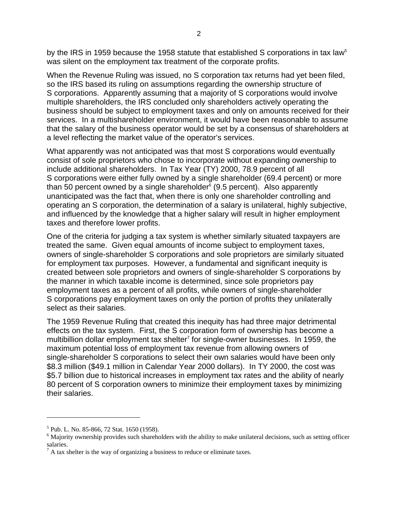by the IRS in 1959 because the 1958 statute that established S corporations in tax law<sup>5</sup> was silent on the employment tax treatment of the corporate profits.

When the Revenue Ruling was issued, no S corporation tax returns had yet been filed, so the IRS based its ruling on assumptions regarding the ownership structure of S corporations. Apparently assuming that a majority of S corporations would involve multiple shareholders, the IRS concluded only shareholders actively operating the business should be subject to employment taxes and only on amounts received for their services. In a multishareholder environment, it would have been reasonable to assume that the salary of the business operator would be set by a consensus of shareholders at a level reflecting the market value of the operator's services.

What apparently was not anticipated was that most S corporations would eventually consist of sole proprietors who chose to incorporate without expanding ownership to include additional shareholders. In Tax Year (TY) 2000, 78.9 percent of all S corporations were either fully owned by a single shareholder (69.4 percent) or more than 50 percent owned by a single shareholder $6$  (9.5 percent). Also apparently unanticipated was the fact that, when there is only one shareholder controlling and operating an S corporation, the determination of a salary is unilateral, highly subjective, and influenced by the knowledge that a higher salary will result in higher employment taxes and therefore lower profits.

One of the criteria for judging a tax system is whether similarly situated taxpayers are treated the same. Given equal amounts of income subject to employment taxes, owners of single-shareholder S corporations and sole proprietors are similarly situated for employment tax purposes. However, a fundamental and significant inequity is created between sole proprietors and owners of single-shareholder S corporations by the manner in which taxable income is determined, since sole proprietors pay employment taxes as a percent of all profits, while owners of single-shareholder S corporations pay employment taxes on only the portion of profits they unilaterally select as their salaries.

The 1959 Revenue Ruling that created this inequity has had three major detrimental effects on the tax system. First, the S corporation form of ownership has become a multibillion dollar employment tax shelter $^7$  for single-owner businesses. In 1959, the maximum potential loss of employment tax revenue from allowing owners of single-shareholder S corporations to select their own salaries would have been only \$8.3 million (\$49.1 million in Calendar Year 2000 dollars). In TY 2000, the cost was \$5.7 billion due to historical increases in employment tax rates and the ability of nearly 80 percent of S corporation owners to minimize their employment taxes by minimizing their salaries.

<sup>5</sup> Pub. L. No. 85-866, 72 Stat. 1650 (1958).

 $6$  Majority ownership provides such shareholders with the ability to make unilateral decisions, such as setting officer salaries.

 $<sup>7</sup>$  A tax shelter is the way of organizing a business to reduce or eliminate taxes.</sup>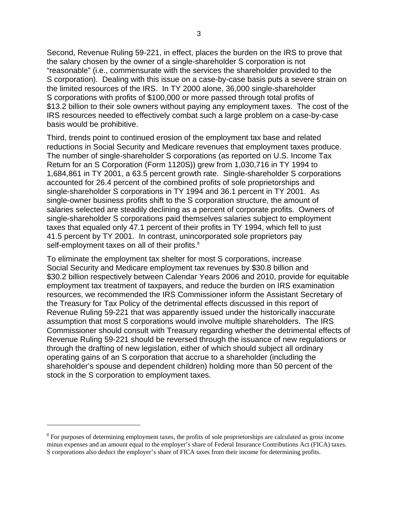Second, Revenue Ruling 59-221, in effect, places the burden on the IRS to prove that the salary chosen by the owner of a single-shareholder S corporation is not "reasonable" (i.e., commensurate with the services the shareholder provided to the S corporation). Dealing with this issue on a case-by-case basis puts a severe strain on the limited resources of the IRS. In TY 2000 alone, 36,000 single-shareholder S corporations with profits of \$100,000 or more passed through total profits of \$13.2 billion to their sole owners without paying any employment taxes. The cost of the IRS resources needed to effectively combat such a large problem on a case-by-case basis would be prohibitive.

Third, trends point to continued erosion of the employment tax base and related reductions in Social Security and Medicare revenues that employment taxes produce. The number of single-shareholder S corporations (as reported on U.S. Income Tax Return for an S Corporation (Form 1120S)) grew from 1,030,716 in TY 1994 to 1,684,861 in TY 2001, a 63.5 percent growth rate. Single-shareholder S corporations accounted for 26.4 percent of the combined profits of sole proprietorships and single-shareholder S corporations in TY 1994 and 36.1 percent in TY 2001. As single-owner business profits shift to the S corporation structure, the amount of salaries selected are steadily declining as a percent of corporate profits. Owners of single-shareholder S corporations paid themselves salaries subject to employment taxes that equaled only 47.1 percent of their profits in TY 1994, which fell to just 41.5 percent by TY 2001. In contrast, unincorporated sole proprietors pay self-employment taxes on all of their profits.<sup>8</sup>

To eliminate the employment tax shelter for most S corporations, increase Social Security and Medicare employment tax revenues by \$30.8 billion and \$30.2 billion respectively between Calendar Years 2006 and 2010, provide for equitable employment tax treatment of taxpayers, and reduce the burden on IRS examination resources, we recommended the IRS Commissioner inform the Assistant Secretary of the Treasury for Tax Policy of the detrimental effects discussed in this report of Revenue Ruling 59-221 that was apparently issued under the historically inaccurate assumption that most S corporations would involve multiple shareholders. The IRS Commissioner should consult with Treasury regarding whether the detrimental effects of Revenue Ruling 59-221 should be reversed through the issuance of new regulations or through the drafting of new legislation, either of which should subject all ordinary operating gains of an S corporation that accrue to a shareholder (including the shareholder's spouse and dependent children) holding more than 50 percent of the stock in the S corporation to employment taxes.

<sup>&</sup>lt;sup>8</sup> For purposes of determining employment taxes, the profits of sole proprietorships are calculated as gross income minus expenses and an amount equal to the employer's share of Federal Insurance Contributions Act (FICA) taxes. S corporations also deduct the employer's share of FICA taxes from their income for determining profits.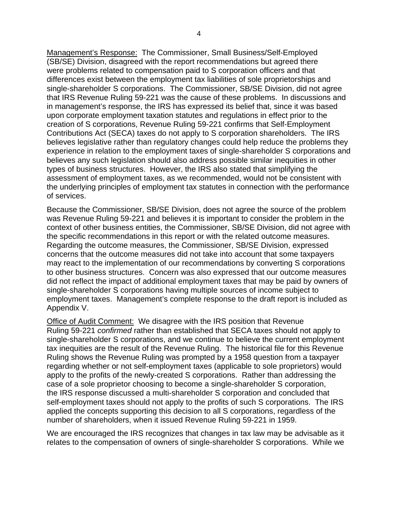Management's Response: The Commissioner, Small Business/Self-Employed (SB/SE) Division, disagreed with the report recommendations but agreed there were problems related to compensation paid to S corporation officers and that differences exist between the employment tax liabilities of sole proprietorships and single-shareholder S corporations. The Commissioner, SB/SE Division, did not agree that IRS Revenue Ruling 59-221 was the cause of these problems. In discussions and in management's response, the IRS has expressed its belief that, since it was based upon corporate employment taxation statutes and regulations in effect prior to the creation of S corporations, Revenue Ruling 59-221 confirms that Self-Employment Contributions Act (SECA) taxes do not apply to S corporation shareholders. The IRS believes legislative rather than regulatory changes could help reduce the problems they experience in relation to the employment taxes of single-shareholder S corporations and believes any such legislation should also address possible similar inequities in other types of business structures. However, the IRS also stated that simplifying the assessment of employment taxes, as we recommended, would not be consistent with the underlying principles of employment tax statutes in connection with the performance of services.

Because the Commissioner, SB/SE Division, does not agree the source of the problem was Revenue Ruling 59-221 and believes it is important to consider the problem in the context of other business entities, the Commissioner, SB/SE Division, did not agree with the specific recommendations in this report or with the related outcome measures. Regarding the outcome measures, the Commissioner, SB/SE Division, expressed concerns that the outcome measures did not take into account that some taxpayers may react to the implementation of our recommendations by converting S corporations to other business structures. Concern was also expressed that our outcome measures did not reflect the impact of additional employment taxes that may be paid by owners of single-shareholder S corporations having multiple sources of income subject to employment taxes. Management's complete response to the draft report is included as Appendix V.

Office of Audit Comment: We disagree with the IRS position that Revenue Ruling 59-221 *confirmed* rather than established that SECA taxes should not apply to single-shareholder S corporations, and we continue to believe the current employment tax inequities are the result of the Revenue Ruling. The historical file for this Revenue Ruling shows the Revenue Ruling was prompted by a 1958 question from a taxpayer regarding whether or not self-employment taxes (applicable to sole proprietors) would apply to the profits of the newly-created S corporations. Rather than addressing the case of a sole proprietor choosing to become a single-shareholder S corporation, the IRS response discussed a multi-shareholder S corporation and concluded that self-employment taxes should not apply to the profits of such S corporations. The IRS applied the concepts supporting this decision to all S corporations, regardless of the number of shareholders, when it issued Revenue Ruling 59-221 in 1959.

We are encouraged the IRS recognizes that changes in tax law may be advisable as it relates to the compensation of owners of single-shareholder S corporations. While we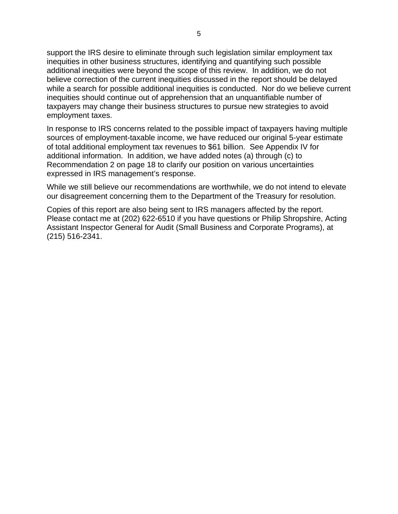support the IRS desire to eliminate through such legislation similar employment tax inequities in other business structures, identifying and quantifying such possible additional inequities were beyond the scope of this review. In addition, we do not believe correction of the current inequities discussed in the report should be delayed while a search for possible additional inequities is conducted. Nor do we believe current inequities should continue out of apprehension that an unquantifiable number of taxpayers may change their business structures to pursue new strategies to avoid employment taxes.

In response to IRS concerns related to the possible impact of taxpayers having multiple sources of employment-taxable income, we have reduced our original 5-year estimate of total additional employment tax revenues to \$61 billion. See Appendix IV for additional information. In addition, we have added notes (a) through (c) to Recommendation 2 on page 18 to clarify our position on various uncertainties expressed in IRS management's response.

While we still believe our recommendations are worthwhile, we do not intend to elevate our disagreement concerning them to the Department of the Treasury for resolution.

Copies of this report are also being sent to IRS managers affected by the report. Please contact me at (202) 622-6510 if you have questions or Philip Shropshire, Acting Assistant Inspector General for Audit (Small Business and Corporate Programs), at (215) 516-2341.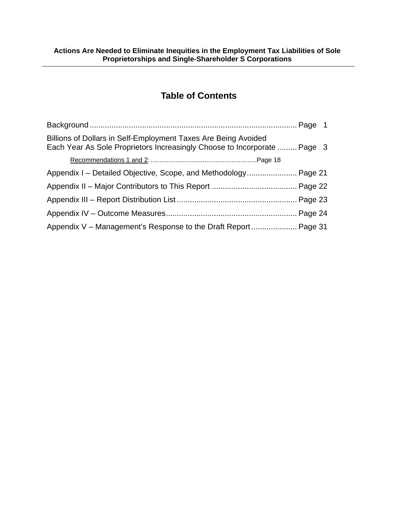# **Table of Contents**

| Billions of Dollars in Self-Employment Taxes Are Being Avoided<br>Each Year As Sole Proprietors Increasingly Choose to Incorporate  Page 3 |  |
|--------------------------------------------------------------------------------------------------------------------------------------------|--|
|                                                                                                                                            |  |
| Appendix I – Detailed Objective, Scope, and Methodology Page 21                                                                            |  |
|                                                                                                                                            |  |
|                                                                                                                                            |  |
|                                                                                                                                            |  |
|                                                                                                                                            |  |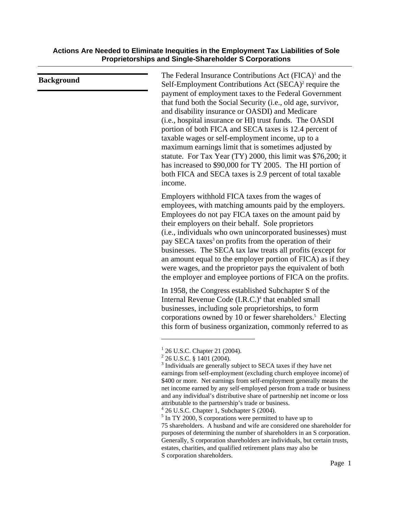| <b>Background</b> | The Federal Insurance Contributions Act (FICA) <sup>1</sup> and the<br>Self-Employment Contributions Act (SECA) <sup>2</sup> require the<br>payment of employment taxes to the Federal Government<br>that fund both the Social Security (i.e., old age, survivor,<br>and disability insurance or OASDI) and Medicare<br>(i.e., hospital insurance or HI) trust funds. The OASDI<br>portion of both FICA and SECA taxes is 12.4 percent of<br>taxable wages or self-employment income, up to a<br>maximum earnings limit that is sometimes adjusted by<br>statute. For Tax Year (TY) 2000, this limit was \$76,200; it<br>has increased to \$90,000 for TY 2005. The HI portion of<br>both FICA and SECA taxes is 2.9 percent of total taxable<br>income. |
|-------------------|----------------------------------------------------------------------------------------------------------------------------------------------------------------------------------------------------------------------------------------------------------------------------------------------------------------------------------------------------------------------------------------------------------------------------------------------------------------------------------------------------------------------------------------------------------------------------------------------------------------------------------------------------------------------------------------------------------------------------------------------------------|
|                   | Employers withhold FICA taxes from the wages of<br>employees, with matching amounts paid by the employers.<br>Employees do not pay FICA taxes on the amount paid by<br>their employers on their behalf. Sole proprietors<br>(i.e., individuals who own unincorporated businesses) must<br>pay SECA taxes <sup>3</sup> on profits from the operation of their<br>businesses. The SECA tax law treats all profits (except for<br>an amount equal to the employer portion of FICA) as if they<br>were wages, and the proprietor pays the equivalent of both<br>the employer and employee portions of FICA on the profits.                                                                                                                                   |
|                   | In 1958, the Congress established Subchapter S of the<br>Internal Revenue Code (I.R.C.) <sup>4</sup> that enabled small<br>businesses, including sole proprietorships, to form<br>corporations owned by 10 or fewer shareholders. <sup>5</sup> Electing<br>this form of business organization, commonly referred to as                                                                                                                                                                                                                                                                                                                                                                                                                                   |
|                   | $^{1}$ 26 U.S.C. Chapter 21 (2004).<br>$^{2}$ 26 U.S.C. § 1401 (2004).<br><sup>3</sup> Individuals are generally subject to SECA taxes if they have net<br>earnings from self-employment (excluding church employee income) of<br>\$400 or more. Net earnings from self-employment generally means the<br>net income earned by any self-employed person from a trade or business                                                                                                                                                                                                                                                                                                                                                                         |

attributable to the partnership's trade or business. 4 26 U.S.C. Chapter 1, Subchapter S (2004).

and any individual's distributive share of partnership net income or loss

<sup>&</sup>lt;sup>5</sup> In TY 2000, S corporations were permitted to have up to

<sup>75</sup> shareholders. A husband and wife are considered one shareholder for purposes of determining the number of shareholders in an S corporation. Generally, S corporation shareholders are individuals, but certain trusts, estates, charities, and qualified retirement plans may also be S corporation shareholders.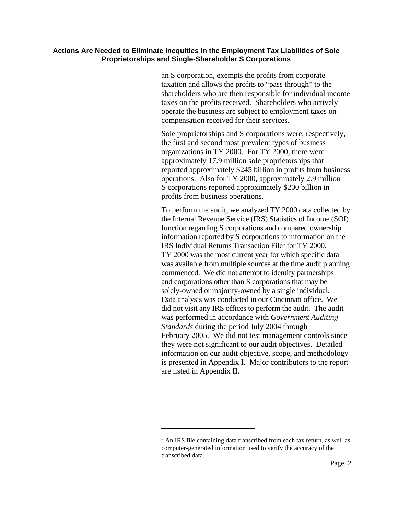an S corporation, exempts the profits from corporate taxation and allows the profits to "pass through" to the shareholders who are then responsible for individual income taxes on the profits received. Shareholders who actively operate the business are subject to employment taxes on compensation received for their services.

Sole proprietorships and S corporations were, respectively, the first and second most prevalent types of business organizations in TY 2000. For TY 2000, there were approximately 17.9 million sole proprietorships that reported approximately \$245 billion in profits from business operations. Also for TY 2000, approximately 2.9 million S corporations reported approximately \$200 billion in profits from business operations.

To perform the audit, we analyzed TY 2000 data collected by the Internal Revenue Service (IRS) Statistics of Income (SOI) function regarding S corporations and compared ownership information reported by S corporations to information on the IRS Individual Returns Transaction File<sup>6</sup> for TY 2000. TY 2000 was the most current year for which specific data was available from multiple sources at the time audit planning commenced. We did not attempt to identify partnerships and corporations other than S corporations that may be solely-owned or majority-owned by a single individual. Data analysis was conducted in our Cincinnati office. We did not visit any IRS offices to perform the audit. The audit was performed in accordance with *Government Auditing Standards* during the period July 2004 through February 2005. We did not test management controls since they were not significant to our audit objectives. Detailed information on our audit objective, scope, and methodology is presented in Appendix I. Major contributors to the report are listed in Appendix II.

<sup>&</sup>lt;sup>6</sup> An IRS file containing data transcribed from each tax return, as well as computer-generated information used to verify the accuracy of the transcribed data.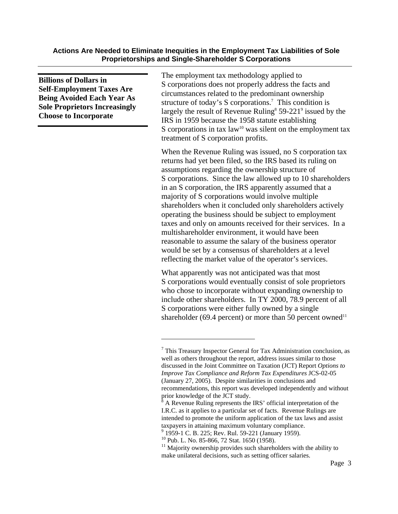**Billions of Dollars in Self-Employment Taxes Are Being Avoided Each Year As Sole Proprietors Increasingly Choose to Incorporate** 

The employment tax methodology applied to S corporations does not properly address the facts and circumstances related to the predominant ownership structure of today's S corporations.<sup>7</sup> This condition is largely the result of Revenue Ruling<sup>8</sup>  $59-221^\circ$  issued by the IRS in 1959 because the 1958 statute establishing S corporations in tax law<sup>10</sup> was silent on the employment tax treatment of S corporation profits.

When the Revenue Ruling was issued, no S corporation tax returns had yet been filed, so the IRS based its ruling on assumptions regarding the ownership structure of S corporations. Since the law allowed up to 10 shareholders in an S corporation, the IRS apparently assumed that a majority of S corporations would involve multiple shareholders when it concluded only shareholders actively operating the business should be subject to employment taxes and only on amounts received for their services. In a multishareholder environment, it would have been reasonable to assume the salary of the business operator would be set by a consensus of shareholders at a level reflecting the market value of the operator's services.

What apparently was not anticipated was that most S corporations would eventually consist of sole proprietors who chose to incorporate without expanding ownership to include other shareholders. In TY 2000, 78.9 percent of all S corporations were either fully owned by a single shareholder (69.4 percent) or more than 50 percent owned<sup>11</sup>

 $7$  This Treasury Inspector General for Tax Administration conclusion, as well as others throughout the report, address issues similar to those discussed in the Joint Committee on Taxation (JCT) Report *Options to Improve Tax Compliance and Reform Tax Expenditures* JCS-02-05 (January 27, 2005). Despite similarities in conclusions and recommendations, this report was developed independently and without prior knowledge of the JCT study.

<sup>&</sup>lt;sup>8</sup> A Revenue Ruling represents the IRS' official interpretation of the I.R.C. as it applies to a particular set of facts. Revenue Rulings are intended to promote the uniform application of the tax laws and assist taxpayers in attaining maximum voluntary compliance.

<sup>&</sup>lt;sup>9</sup> 1959-1 C. B. 225; Rev. Rul. 59-221 (January 1959).

 $10$  Pub. L. No. 85-866, 72 Stat. 1650 (1958).

 $11$  Majority ownership provides such shareholders with the ability to make unilateral decisions, such as setting officer salaries.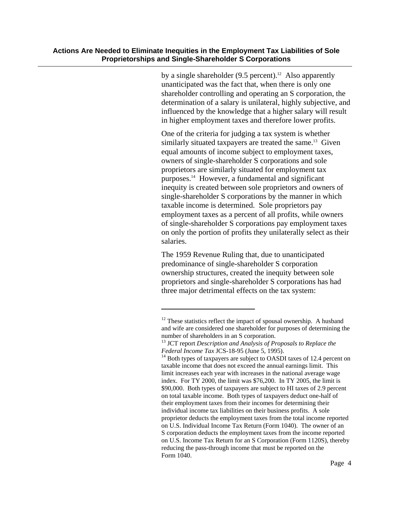$\overline{a}$ 

by a single shareholder  $(9.5 \text{ percent})$ .<sup>12</sup> Also apparently unanticipated was the fact that, when there is only one shareholder controlling and operating an S corporation, the determination of a salary is unilateral, highly subjective, and influenced by the knowledge that a higher salary will result in higher employment taxes and therefore lower profits.

One of the criteria for judging a tax system is whether similarly situated taxpayers are treated the same.<sup>13</sup> Given equal amounts of income subject to employment taxes, owners of single-shareholder S corporations and sole proprietors are similarly situated for employment tax purposes.14 However, a fundamental and significant inequity is created between sole proprietors and owners of single-shareholder S corporations by the manner in which taxable income is determined. Sole proprietors pay employment taxes as a percent of all profits, while owners of single-shareholder S corporations pay employment taxes on only the portion of profits they unilaterally select as their salaries.

The 1959 Revenue Ruling that, due to unanticipated predominance of single-shareholder S corporation ownership structures, created the inequity between sole proprietors and single-shareholder S corporations has had three major detrimental effects on the tax system:

<sup>&</sup>lt;sup>12</sup> These statistics reflect the impact of spousal ownership. A husband and wife are considered one shareholder for purposes of determining the number of shareholders in an S corporation.

<sup>&</sup>lt;sup>13</sup> JCT report *Description and Analysis of Proposals to Replace the Federal Income Tax JCS-18-95 (June 5, 1995).* 

<sup>&</sup>lt;sup>14</sup> Both types of taxpayers are subject to OASDI taxes of 12.4 percent on taxable income that does not exceed the annual earnings limit. This limit increases each year with increases in the national average wage index. For TY 2000, the limit was \$76,200. In TY 2005, the limit is \$90,000. Both types of taxpayers are subject to HI taxes of 2.9 percent on total taxable income. Both types of taxpayers deduct one-half of their employment taxes from their incomes for determining their individual income tax liabilities on their business profits. A sole proprietor deducts the employment taxes from the total income reported on U.S. Individual Income Tax Return (Form 1040). The owner of an S corporation deducts the employment taxes from the income reported on U.S. Income Tax Return for an S Corporation (Form 1120S), thereby reducing the pass-through income that must be reported on the Form 1040.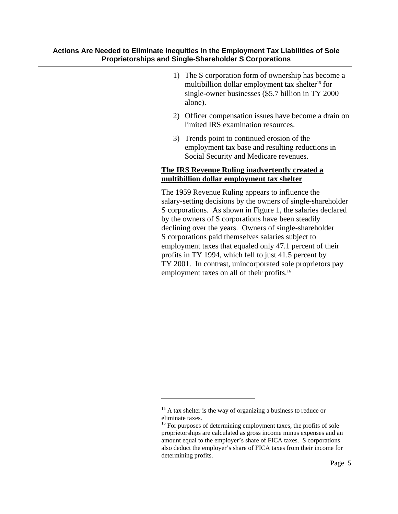- 1) The S corporation form of ownership has become a multibillion dollar employment tax shelter<sup>15</sup> for single-owner businesses (\$5.7 billion in TY 2000 alone).
- 2) Officer compensation issues have become a drain on limited IRS examination resources.
- 3) Trends point to continued erosion of the employment tax base and resulting reductions in Social Security and Medicare revenues.

### **The IRS Revenue Ruling inadvertently created a multibillion dollar employment tax shelter**

The 1959 Revenue Ruling appears to influence the salary-setting decisions by the owners of single-shareholder S corporations. As shown in Figure 1, the salaries declared by the owners of S corporations have been steadily declining over the years. Owners of single-shareholder S corporations paid themselves salaries subject to employment taxes that equaled only 47.1 percent of their profits in TY 1994, which fell to just 41.5 percent by TY 2001. In contrast, unincorporated sole proprietors pay employment taxes on all of their profits.<sup>16</sup>

 $15$  A tax shelter is the way of organizing a business to reduce or eliminate taxes.

<sup>&</sup>lt;sup>16</sup> For purposes of determining employment taxes, the profits of sole proprietorships are calculated as gross income minus expenses and an amount equal to the employer's share of FICA taxes. S corporations also deduct the employer's share of FICA taxes from their income for determining profits.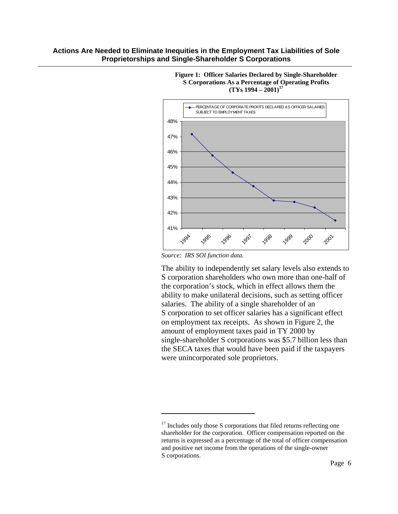

**Figure 1: Officer Salaries Declared by Single-Shareholder S Corporations As a Percentage of Operating Profits**   $(TYs 1994 - 2001)^{17}$ 

*Source: IRS SOI function data.* 

 $\overline{a}$ 

The ability to independently set salary levels also extends to S corporation shareholders who own more than one-half of the corporation's stock, which in effect allows them the ability to make unilateral decisions, such as setting officer salaries. The ability of a single shareholder of an S corporation to set officer salaries has a significant effect on employment tax receipts. As shown in Figure 2, the amount of employment taxes paid in TY 2000 by single-shareholder S corporations was \$5.7 billion less than the SECA taxes that would have been paid if the taxpayers were unincorporated sole proprietors.

 $17$  Includes only those S corporations that filed returns reflecting one shareholder for the corporation. Officer compensation reported on the returns is expressed as a percentage of the total of officer compensation and positive net income from the operations of the single-owner S corporations.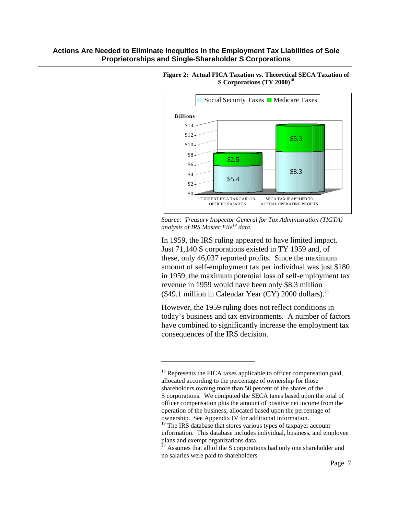$\overline{a}$ 



#### **Figure 2: Actual FICA Taxation vs. Theoretical SECA Taxation of S Corporations (TY 2000)<sup>18</sup>**

*Source: Treasury Inspector General for Tax Administration (TIGTA) analysis of IRS Master File19 data.*

In 1959, the IRS ruling appeared to have limited impact. Just 71,140 S corporations existed in TY 1959 and, of these, only 46,037 reported profits. Since the maximum amount of self-employment tax per individual was just \$180 in 1959, the maximum potential loss of self-employment tax revenue in 1959 would have been only \$8.3 million (\$49.1 million in Calendar Year (CY) 2000 dollars).<sup>20</sup>

However, the 1959 ruling does not reflect conditions in today's business and tax environments. A number of factors have combined to significantly increase the employment tax consequences of the IRS decision.

 $18$  Represents the FICA taxes applicable to officer compensation paid, allocated according to the percentage of ownership for those shareholders owning more than 50 percent of the shares of the S corporations. We computed the SECA taxes based upon the total of officer compensation plus the amount of positive net income from the operation of the business, allocated based upon the percentage of ownership. See Appendix IV for additional information.

<sup>&</sup>lt;sup>19</sup> The IRS database that stores various types of taxpayer account information. This database includes individual, business, and employee plans and exempt organizations data.

<sup>&</sup>lt;sup>20</sup> Assumes that all of the S corporations had only one shareholder and no salaries were paid to shareholders.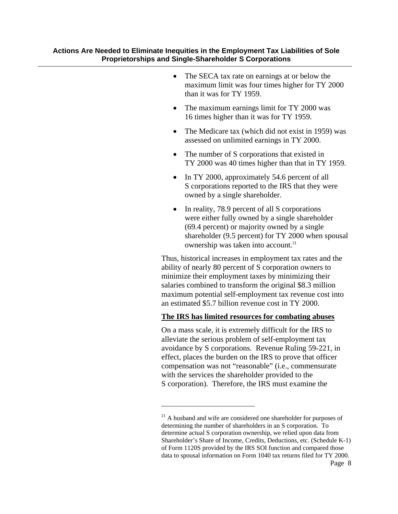- The SECA tax rate on earnings at or below the maximum limit was four times higher for TY 2000 than it was for TY 1959.
- The maximum earnings limit for TY 2000 was 16 times higher than it was for TY 1959.
- The Medicare tax (which did not exist in 1959) was assessed on unlimited earnings in TY 2000.
- The number of S corporations that existed in TY 2000 was 40 times higher than that in TY 1959.
- In TY 2000, approximately 54.6 percent of all S corporations reported to the IRS that they were owned by a single shareholder.
- In reality, 78.9 percent of all S corporations were either fully owned by a single shareholder (69.4 percent) or majority owned by a single shareholder (9.5 percent) for TY 2000 when spousal ownership was taken into account.<sup>21</sup>

Thus, historical increases in employment tax rates and the ability of nearly 80 percent of S corporation owners to minimize their employment taxes by minimizing their salaries combined to transform the original \$8.3 million maximum potential self-employment tax revenue cost into an estimated \$5.7 billion revenue cost in TY 2000.

### **The IRS has limited resources for combating abuses**

On a mass scale, it is extremely difficult for the IRS to alleviate the serious problem of self-employment tax avoidance by S corporations. Revenue Ruling 59-221, in effect, places the burden on the IRS to prove that officer compensation was not "reasonable" (i.e., commensurate with the services the shareholder provided to the S corporation). Therefore, the IRS must examine the

 $21$  A husband and wife are considered one shareholder for purposes of determining the number of shareholders in an S corporation. To determine actual S corporation ownership, we relied upon data from Shareholder's Share of Income, Credits, Deductions, etc. (Schedule K-1) of Form 1120S provided by the IRS SOI function and compared those data to spousal information on Form 1040 tax returns filed for TY 2000.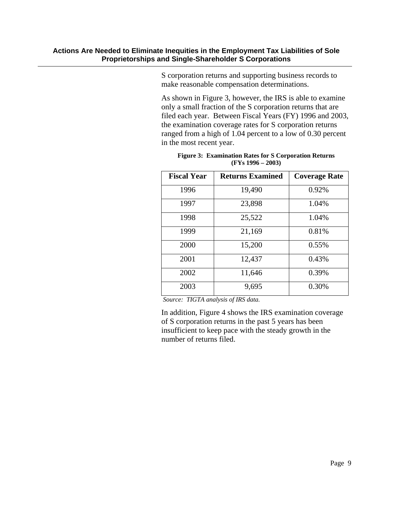S corporation returns and supporting business records to make reasonable compensation determinations.

As shown in Figure 3, however, the IRS is able to examine only a small fraction of the S corporation returns that are filed each year. Between Fiscal Years (FY) 1996 and 2003, the examination coverage rates for S corporation returns ranged from a high of 1.04 percent to a low of 0.30 percent in the most recent year.

| <b>Fiscal Year</b> | <b>Returns Examined</b> | <b>Coverage Rate</b> |
|--------------------|-------------------------|----------------------|
| 1996               | 19,490                  | 0.92%                |
| 1997               | 23,898                  | 1.04%                |
| 1998               | 25,522                  | 1.04%                |
| 1999               | 21,169                  | 0.81%                |
| 2000               | 15,200                  | 0.55%                |
| 2001               | 12,437                  | 0.43%                |
| 2002               | 11,646                  | 0.39%                |
| 2003               | 9,695                   | 0.30%                |

**Figure 3: Examination Rates for S Corporation Returns (FYs 1996 – 2003)** 

 *Source: TIGTA analysis of IRS data.* 

In addition, Figure 4 shows the IRS examination coverage of S corporation returns in the past 5 years has been insufficient to keep pace with the steady growth in the number of returns filed.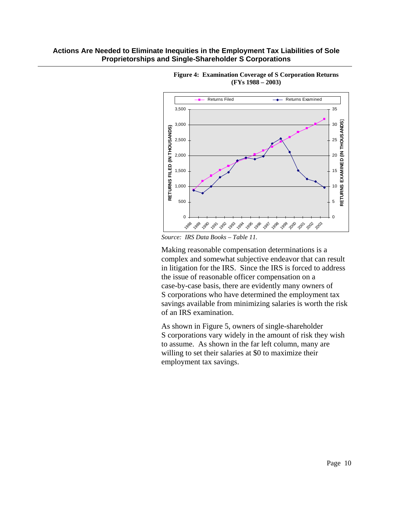



*Source: IRS Data Books – Table 11.* 

Making reasonable compensation determinations is a complex and somewhat subjective endeavor that can result in litigation for the IRS. Since the IRS is forced to address the issue of reasonable officer compensation on a case-by-case basis, there are evidently many owners of S corporations who have determined the employment tax savings available from minimizing salaries is worth the risk of an IRS examination.

As shown in Figure 5, owners of single-shareholder S corporations vary widely in the amount of risk they wish to assume. As shown in the far left column, many are willing to set their salaries at \$0 to maximize their employment tax savings.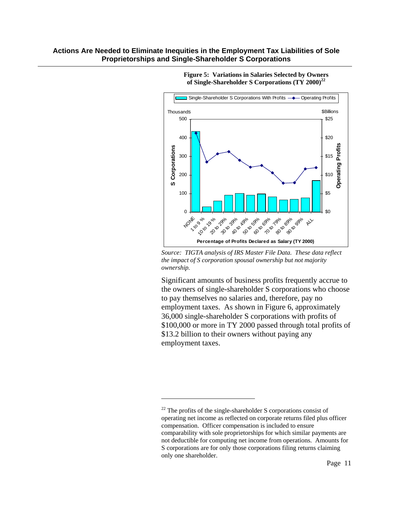

**Figure 5: Variations in Salaries Selected by Owners of Single-Shareholder S Corporations (TY 2000)<sup>22</sup>**

*Source: TIGTA analysis of IRS Master File Data. These data reflect the impact of S corporation spousal ownership but not majority ownership.*

Significant amounts of business profits frequently accrue to the owners of single-shareholder S corporations who choose to pay themselves no salaries and, therefore, pay no employment taxes. As shown in Figure 6, approximately 36,000 single-shareholder S corporations with profits of \$100,000 or more in TY 2000 passed through total profits of \$13.2 billion to their owners without paying any employment taxes.

 $22$  The profits of the single-shareholder S corporations consist of operating net income as reflected on corporate returns filed plus officer compensation. Officer compensation is included to ensure comparability with sole proprietorships for which similar payments are not deductible for computing net income from operations. Amounts for S corporations are for only those corporations filing returns claiming only one shareholder.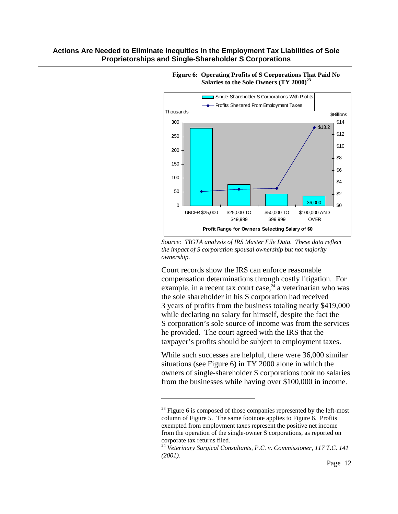

#### **Figure 6: Operating Profits of S Corporations That Paid No Salaries to the Sole Owners (TY 2000)<sup>23</sup>**

*Source: TIGTA analysis of IRS Master File Data. These data reflect the impact of S corporation spousal ownership but not majority ownership.* 

Court records show the IRS can enforce reasonable compensation determinations through costly litigation. For example, in a recent tax court case, $^{24}$  a veterinarian who was the sole shareholder in his S corporation had received 3 years of profits from the business totaling nearly \$419,000 while declaring no salary for himself, despite the fact the S corporation's sole source of income was from the services he provided. The court agreed with the IRS that the taxpayer's profits should be subject to employment taxes.

While such successes are helpful, there were 36,000 similar situations (see Figure 6) in TY 2000 alone in which the owners of single-shareholder S corporations took no salaries from the businesses while having over \$100,000 in income.

 $^{23}$  Figure 6 is composed of those companies represented by the left-most column of Figure 5. The same footnote applies to Figure 6. Profits exempted from employment taxes represent the positive net income from the operation of the single-owner S corporations, as reported on corporate tax returns filed.

<sup>24</sup> *Veterinary Surgical Consultants, P.C. v. Commissioner, 117 T.C. 141 (2001).*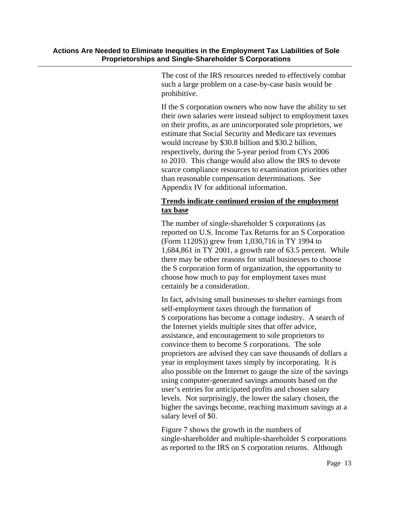The cost of the IRS resources needed to effectively combat such a large problem on a case-by-case basis would be prohibitive.

If the S corporation owners who now have the ability to set their own salaries were instead subject to employment taxes on their profits, as are unincorporated sole proprietors, we estimate that Social Security and Medicare tax revenues would increase by \$30.8 billion and \$30.2 billion, respectively, during the 5-year period from CYs 2006 to 2010. This change would also allow the IRS to devote scarce compliance resources to examination priorities other than reasonable compensation determinations. See Appendix IV for additional information.

## **Trends indicate continued erosion of the employment tax base**

The number of single-shareholder S corporations (as reported on U.S. Income Tax Returns for an S Corporation (Form 1120S)) grew from 1,030,716 in TY 1994 to 1,684,861 in TY 2001, a growth rate of 63.5 percent. While there may be other reasons for small businesses to choose the S corporation form of organization, the opportunity to choose how much to pay for employment taxes must certainly be a consideration.

In fact, advising small businesses to shelter earnings from self-employment taxes through the formation of S corporations has become a cottage industry. A search of the Internet yields multiple sites that offer advice, assistance, and encouragement to sole proprietors to convince them to become S corporations. The sole proprietors are advised they can save thousands of dollars a year in employment taxes simply by incorporating. It is also possible on the Internet to gauge the size of the savings using computer-generated savings amounts based on the user's entries for anticipated profits and chosen salary levels. Not surprisingly, the lower the salary chosen, the higher the savings become, reaching maximum savings at a salary level of \$0.

Figure 7 shows the growth in the numbers of single-shareholder and multiple-shareholder S corporations as reported to the IRS on S corporation returns. Although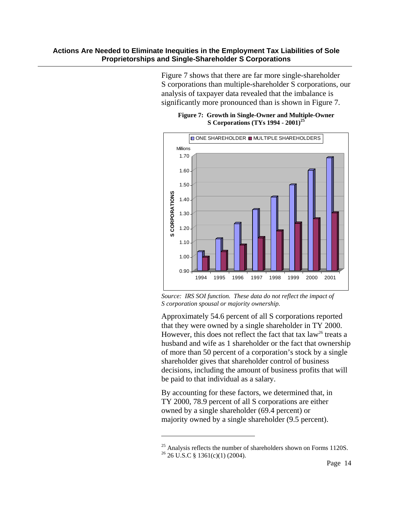Figure 7 shows that there are far more single-shareholder S corporations than multiple-shareholder S corporations, our analysis of taxpayer data revealed that the imbalance is significantly more pronounced than is shown in Figure 7.



**Figure 7: Growth in Single-Owner and Multiple-Owner S Corporations (TYs 1994 - 2001)25** 

*Source: IRS SOI function. These data do not reflect the impact of S corporation spousal or majority ownership.*

Approximately 54.6 percent of all S corporations reported that they were owned by a single shareholder in TY 2000. However, this does not reflect the fact that tax  $law<sup>26</sup>$  treats a husband and wife as 1 shareholder or the fact that ownership of more than 50 percent of a corporation's stock by a single shareholder gives that shareholder control of business decisions, including the amount of business profits that will be paid to that individual as a salary.

By accounting for these factors, we determined that, in TY 2000, 78.9 percent of all S corporations are either owned by a single shareholder (69.4 percent) or majority owned by a single shareholder (9.5 percent).

 $25$  Analysis reflects the number of shareholders shown on Forms 1120S.  $26 \text{ U.S.C }$ § 1361(c)(1) (2004).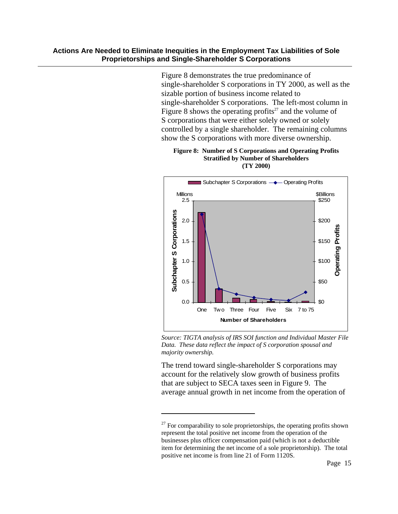Figure 8 demonstrates the true predominance of single-shareholder S corporations in TY 2000, as well as the sizable portion of business income related to single-shareholder S corporations. The left-most column in Figure 8 shows the operating profits<sup>27</sup> and the volume of S corporations that were either solely owned or solely controlled by a single shareholder. The remaining columns show the S corporations with more diverse ownership.

#### **Figure 8: Number of S Corporations and Operating Profits Stratified by Number of Shareholders (TY 2000)**



*Source: TIGTA analysis of IRS SOI function and Individual Master File Data. These data reflect the impact of S corporation spousal and majority ownership.* 

The trend toward single-shareholder S corporations may account for the relatively slow growth of business profits that are subject to SECA taxes seen in Figure 9. The average annual growth in net income from the operation of

 $27$  For comparability to sole proprietorships, the operating profits shown represent the total positive net income from the operation of the businesses plus officer compensation paid (which is not a deductible item for determining the net income of a sole proprietorship). The total positive net income is from line 21 of Form 1120S.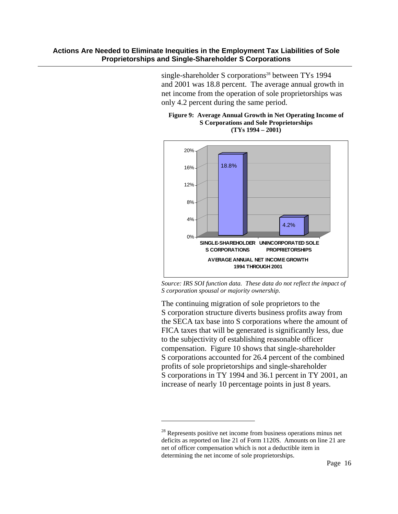single-shareholder S corporations<sup>28</sup> between TYs 1994 and 2001 was 18.8 percent. The average annual growth in net income from the operation of sole proprietorships was only 4.2 percent during the same period.





*Source: IRS SOI function data. These data do not reflect the impact of S corporation spousal or majority ownership.* 

The continuing migration of sole proprietors to the S corporation structure diverts business profits away from the SECA tax base into S corporations where the amount of FICA taxes that will be generated is significantly less, due to the subjectivity of establishing reasonable officer compensation. Figure 10 shows that single-shareholder S corporations accounted for 26.4 percent of the combined profits of sole proprietorships and single-shareholder S corporations in TY 1994 and 36.1 percent in TY 2001, an increase of nearly 10 percentage points in just 8 years.

<sup>&</sup>lt;sup>28</sup> Represents positive net income from business operations minus net deficits as reported on line 21 of Form 1120S. Amounts on line 21 are net of officer compensation which is not a deductible item in determining the net income of sole proprietorships.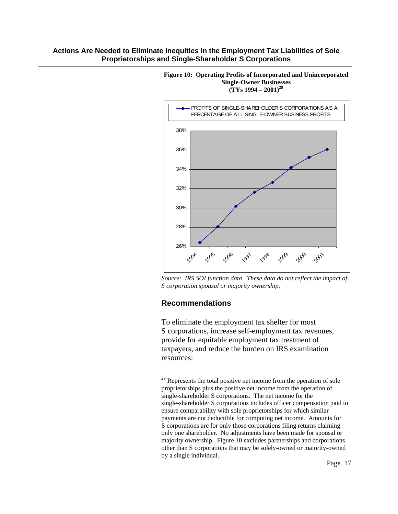

**Figure 10: Operating Profits of Incorporated and Unincorporated Single-Owner Businesses (TYs 1994 – 2001)29**

*Source: IRS SOI function data. These data do not reflect the impact of S corporation spousal or majority ownership.* 

### **Recommendations**

 $\overline{a}$ 

To eliminate the employment tax shelter for most S corporations, increase self-employment tax revenues, provide for equitable employment tax treatment of taxpayers, and reduce the burden on IRS examination resources:

 $29$  Represents the total positive net income from the operation of sole proprietorships plus the positive net income from the operation of single-shareholder S corporations. The net income for the single-shareholder S corporations includes officer compensation paid to ensure comparability with sole proprietorships for which similar payments are not deductible for computing net income. Amounts for S corporations are for only those corporations filing returns claiming only one shareholder. No adjustments have been made for spousal or majority ownership. Figure 10 excludes partnerships and corporations other than S corporations that may be solely-owned or majority-owned by a single individual.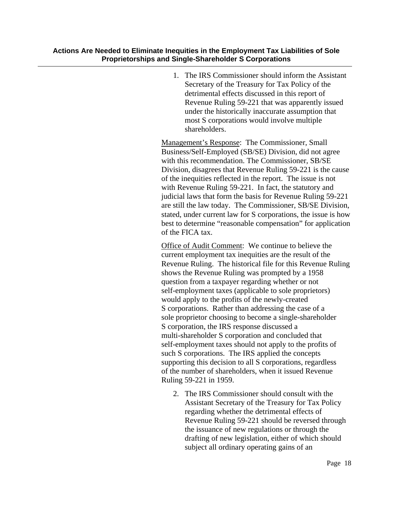1. The IRS Commissioner should inform the Assistant Secretary of the Treasury for Tax Policy of the detrimental effects discussed in this report of Revenue Ruling 59-221 that was apparently issued under the historically inaccurate assumption that most S corporations would involve multiple shareholders.

Management's Response: The Commissioner, Small Business/Self-Employed (SB/SE) Division, did not agree with this recommendation. The Commissioner, SB/SE Division, disagrees that Revenue Ruling 59-221 is the cause of the inequities reflected in the report. The issue is not with Revenue Ruling 59-221. In fact, the statutory and judicial laws that form the basis for Revenue Ruling 59-221 are still the law today. The Commissioner, SB/SE Division, stated, under current law for S corporations, the issue is how best to determine "reasonable compensation" for application of the FICA tax.

Office of Audit Comment: We continue to believe the current employment tax inequities are the result of the Revenue Ruling. The historical file for this Revenue Ruling shows the Revenue Ruling was prompted by a 1958 question from a taxpayer regarding whether or not self-employment taxes (applicable to sole proprietors) would apply to the profits of the newly-created S corporations. Rather than addressing the case of a sole proprietor choosing to become a single-shareholder S corporation, the IRS response discussed a multi-shareholder S corporation and concluded that self-employment taxes should not apply to the profits of such S corporations. The IRS applied the concepts supporting this decision to all S corporations, regardless of the number of shareholders, when it issued Revenue Ruling 59-221 in 1959.

2. The IRS Commissioner should consult with the Assistant Secretary of the Treasury for Tax Policy regarding whether the detrimental effects of Revenue Ruling 59-221 should be reversed through the issuance of new regulations or through the drafting of new legislation, either of which should subject all ordinary operating gains of an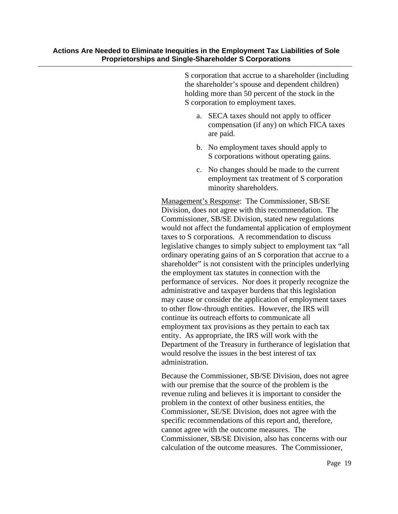S corporation that accrue to a shareholder (including the shareholder's spouse and dependent children) holding more than 50 percent of the stock in the S corporation to employment taxes.

- a. SECA taxes should not apply to officer compensation (if any) on which FICA taxes are paid.
- b. No employment taxes should apply to S corporations without operating gains.
- c. No changes should be made to the current employment tax treatment of S corporation minority shareholders.

Management's Response: The Commissioner, SB/SE Division, does not agree with this recommendation. The Commissioner, SB/SE Division, stated new regulations would not affect the fundamental application of employment taxes to S corporations. A recommendation to discuss legislative changes to simply subject to employment tax "all ordinary operating gains of an S corporation that accrue to a shareholder" is not consistent with the principles underlying the employment tax statutes in connection with the performance of services. Nor does it properly recognize the administrative and taxpayer burdens that this legislation may cause or consider the application of employment taxes to other flow-through entities. However, the IRS will continue its outreach efforts to communicate all employment tax provisions as they pertain to each tax entity. As appropriate, the IRS will work with the Department of the Treasury in furtherance of legislation that would resolve the issues in the best interest of tax administration.

Because the Commissioner, SB/SE Division, does not agree with our premise that the source of the problem is the revenue ruling and believes it is important to consider the problem in the context of other business entities, the Commissioner, SE/SE Division, does not agree with the specific recommendations of this report and, therefore, cannot agree with the outcome measures. The Commissioner, SB/SE Division, also has concerns with our calculation of the outcome measures. The Commissioner,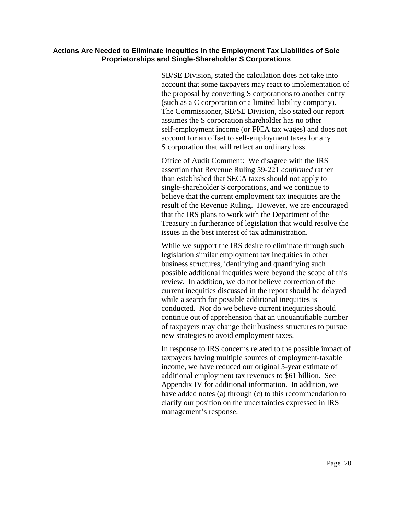SB/SE Division, stated the calculation does not take into account that some taxpayers may react to implementation of the proposal by converting S corporations to another entity (such as a C corporation or a limited liability company). The Commissioner, SB/SE Division, also stated our report assumes the S corporation shareholder has no other self-employment income (or FICA tax wages) and does not account for an offset to self-employment taxes for any S corporation that will reflect an ordinary loss.

Office of Audit Comment: We disagree with the IRS assertion that Revenue Ruling 59-221 *confirmed* rather than established that SECA taxes should not apply to single-shareholder S corporations, and we continue to believe that the current employment tax inequities are the result of the Revenue Ruling. However, we are encouraged that the IRS plans to work with the Department of the Treasury in furtherance of legislation that would resolve the issues in the best interest of tax administration.

While we support the IRS desire to eliminate through such legislation similar employment tax inequities in other business structures, identifying and quantifying such possible additional inequities were beyond the scope of this review. In addition, we do not believe correction of the current inequities discussed in the report should be delayed while a search for possible additional inequities is conducted. Nor do we believe current inequities should continue out of apprehension that an unquantifiable number of taxpayers may change their business structures to pursue new strategies to avoid employment taxes.

In response to IRS concerns related to the possible impact of taxpayers having multiple sources of employment-taxable income, we have reduced our original 5-year estimate of additional employment tax revenues to \$61 billion. See Appendix IV for additional information. In addition, we have added notes (a) through (c) to this recommendation to clarify our position on the uncertainties expressed in IRS management's response.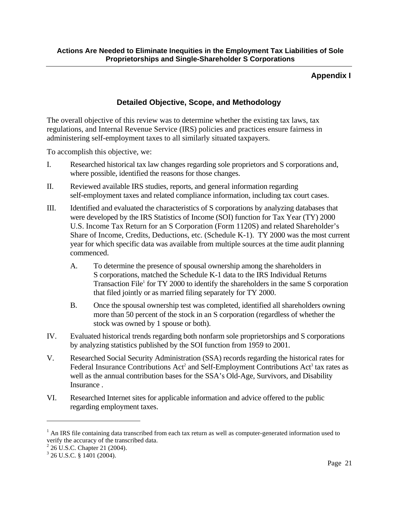## **Appendix I**

## **Detailed Objective, Scope, and Methodology**

The overall objective of this review was to determine whether the existing tax laws, tax regulations, and Internal Revenue Service (IRS) policies and practices ensure fairness in administering self-employment taxes to all similarly situated taxpayers.

To accomplish this objective, we:

- I. Researched historical tax law changes regarding sole proprietors and S corporations and, where possible, identified the reasons for those changes.
- II. Reviewed available IRS studies, reports, and general information regarding self-employment taxes and related compliance information, including tax court cases.
- III. Identified and evaluated the characteristics of S corporations by analyzing databases that were developed by the IRS Statistics of Income (SOI) function for Tax Year (TY) 2000 U.S. Income Tax Return for an S Corporation (Form 1120S) and related Shareholder's Share of Income, Credits, Deductions, etc. (Schedule K-1). TY 2000 was the most current year for which specific data was available from multiple sources at the time audit planning commenced.
	- A. To determine the presence of spousal ownership among the shareholders in S corporations, matched the Schedule K-1 data to the IRS Individual Returns Transaction File<sup>1</sup> for TY 2000 to identify the shareholders in the same S corporation that filed jointly or as married filing separately for TY 2000.
	- B. Once the spousal ownership test was completed, identified all shareholders owning more than 50 percent of the stock in an S corporation (regardless of whether the stock was owned by 1 spouse or both).
- IV. Evaluated historical trends regarding both nonfarm sole proprietorships and S corporations by analyzing statistics published by the SOI function from 1959 to 2001.
- V. Researched Social Security Administration (SSA) records regarding the historical rates for Federal Insurance Contributions Act<sup>2</sup> and Self-Employment Contributions Act<sup>3</sup> tax rates as well as the annual contribution bases for the SSA's Old-Age, Survivors, and Disability Insurance .
- VI. Researched Internet sites for applicable information and advice offered to the public regarding employment taxes.

<sup>&</sup>lt;sup>1</sup> An IRS file containing data transcribed from each tax return as well as computer-generated information used to verify the accuracy of the transcribed data.

<sup>&</sup>lt;sup>2</sup> 26 U.S.C. Chapter 21 (2004).

<sup>3</sup> 26 U.S.C. § 1401 (2004).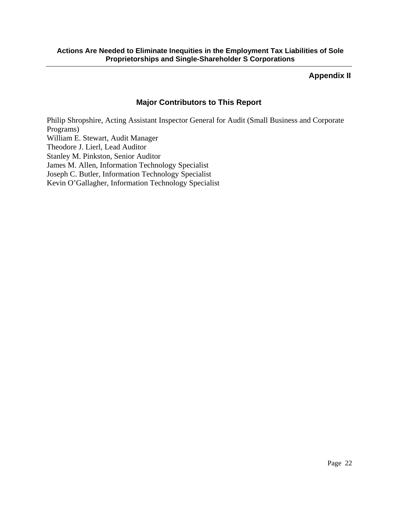## **Appendix II**

## **Major Contributors to This Report**

Philip Shropshire, Acting Assistant Inspector General for Audit (Small Business and Corporate Programs) William E. Stewart, Audit Manager Theodore J. Lierl, Lead Auditor Stanley M. Pinkston, Senior Auditor James M. Allen, Information Technology Specialist Joseph C. Butler, Information Technology Specialist Kevin O'Gallagher, Information Technology Specialist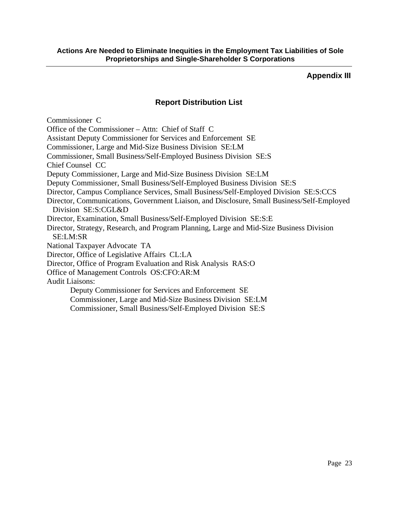## **Appendix III**

## **Report Distribution List**

Commissioner C Office of the Commissioner – Attn: Chief of Staff C Assistant Deputy Commissioner for Services and Enforcement SE Commissioner, Large and Mid-Size Business Division SE:LM Commissioner, Small Business/Self-Employed Business Division SE:S Chief Counsel CC Deputy Commissioner, Large and Mid-Size Business Division SE:LM Deputy Commissioner, Small Business/Self-Employed Business Division SE:S Director, Campus Compliance Services, Small Business/Self-Employed Division SE:S:CCS Director, Communications, Government Liaison, and Disclosure, Small Business/Self-Employed Division SE:S:CGL&D Director, Examination, Small Business/Self-Employed Division SE:S:E Director, Strategy, Research, and Program Planning, Large and Mid-Size Business Division SE:LM:SR National Taxpayer Advocate TA Director, Office of Legislative Affairs CL:LA Director, Office of Program Evaluation and Risk Analysis RAS:O Office of Management Controls OS:CFO:AR:M Audit Liaisons: Deputy Commissioner for Services and Enforcement SE Commissioner, Large and Mid-Size Business Division SE:LM Commissioner, Small Business/Self-Employed Division SE:S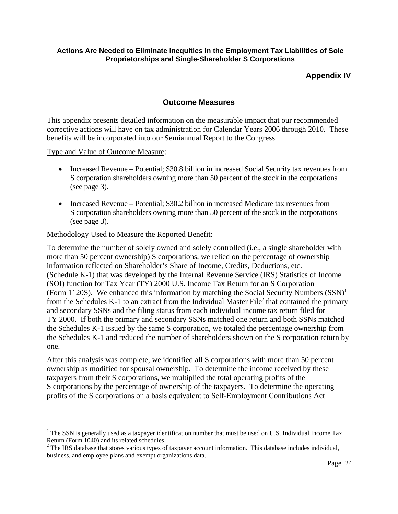## **Appendix IV**

## **Outcome Measures**

This appendix presents detailed information on the measurable impact that our recommended corrective actions will have on tax administration for Calendar Years 2006 through 2010. These benefits will be incorporated into our Semiannual Report to the Congress.

Type and Value of Outcome Measure:

 $\overline{a}$ 

- Increased Revenue Potential; \$30.8 billion in increased Social Security tax revenues from S corporation shareholders owning more than 50 percent of the stock in the corporations (see page 3).
- Increased Revenue Potential; \$30.2 billion in increased Medicare tax revenues from S corporation shareholders owning more than 50 percent of the stock in the corporations (see page 3).

### Methodology Used to Measure the Reported Benefit:

To determine the number of solely owned and solely controlled (i.e., a single shareholder with more than 50 percent ownership) S corporations, we relied on the percentage of ownership information reflected on Shareholder's Share of Income, Credits, Deductions, etc. (Schedule K-1) that was developed by the Internal Revenue Service (IRS) Statistics of Income (SOI) function for Tax Year (TY) 2000 U.S. Income Tax Return for an S Corporation (Form 1120S). We enhanced this information by matching the Social Security Numbers  $(SSN)^1$ from the Schedules K-1 to an extract from the Individual Master File<sup>2</sup> that contained the primary and secondary SSNs and the filing status from each individual income tax return filed for TY 2000. If both the primary and secondary SSNs matched one return and both SSNs matched the Schedules K-1 issued by the same S corporation, we totaled the percentage ownership from the Schedules K-1 and reduced the number of shareholders shown on the S corporation return by one.

After this analysis was complete, we identified all S corporations with more than 50 percent ownership as modified for spousal ownership. To determine the income received by these taxpayers from their S corporations, we multiplied the total operating profits of the S corporations by the percentage of ownership of the taxpayers. To determine the operating profits of the S corporations on a basis equivalent to Self-Employment Contributions Act

<sup>&</sup>lt;sup>1</sup> The SSN is generally used as a taxpayer identification number that must be used on U.S. Individual Income Tax Return (Form 1040) and its related schedules.

 $2^2$  The IRS database that stores various types of taxpayer account information. This database includes individual, business, and employee plans and exempt organizations data.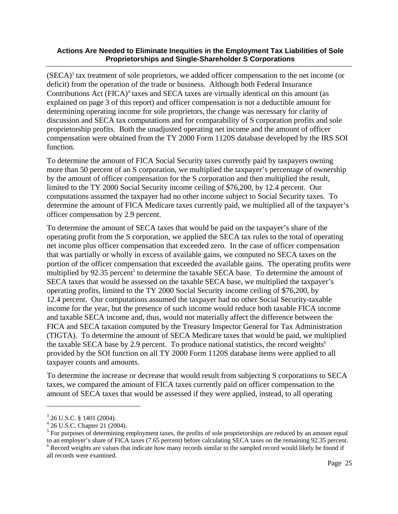$(SECA)<sup>3</sup>$  tax treatment of sole proprietors, we added officer compensation to the net income (or deficit) from the operation of the trade or business. Although both Federal Insurance Contributions Act (FICA)<sup>4</sup> taxes and SECA taxes are virtually identical on this amount (as explained on page 3 of this report) and officer compensation is not a deductible amount for determining operating income for sole proprietors, the change was necessary for clarity of discussion and SECA tax computations and for comparability of S corporation profits and sole proprietorship profits. Both the unadjusted operating net income and the amount of officer compensation were obtained from the TY 2000 Form 1120S database developed by the IRS SOI function.

To determine the amount of FICA Social Security taxes currently paid by taxpayers owning more than 50 percent of an S corporation, we multiplied the taxpayer's percentage of ownership by the amount of officer compensation for the S corporation and then multiplied the result, limited to the TY 2000 Social Security income ceiling of \$76,200, by 12.4 percent. Our computations assumed the taxpayer had no other income subject to Social Security taxes. To determine the amount of FICA Medicare taxes currently paid, we multiplied all of the taxpayer's officer compensation by 2.9 percent.

To determine the amount of SECA taxes that would be paid on the taxpayer's share of the operating profit from the S corporation, we applied the SECA tax rules to the total of operating net income plus officer compensation that exceeded zero. In the case of officer compensation that was partially or wholly in excess of available gains, we computed no SECA taxes on the portion of the officer compensation that exceeded the available gains. The operating profits were multiplied by 92.35 percent<sup>5</sup> to determine the taxable SECA base. To determine the amount of SECA taxes that would be assessed on the taxable SECA base, we multiplied the taxpayer's operating profits, limited to the TY 2000 Social Security income ceiling of \$76,200, by 12.4 percent. Our computations assumed the taxpayer had no other Social Security-taxable income for the year, but the presence of such income would reduce both taxable FICA income and taxable SECA income and, thus, would not materially affect the difference between the FICA and SECA taxation computed by the Treasury Inspector General for Tax Administration (TIGTA). To determine the amount of SECA Medicare taxes that would be paid, we multiplied the taxable SECA base by 2.9 percent. To produce national statistics, the record weights<sup> $6$ </sup> provided by the SOI function on all TY 2000 Form 1120S database items were applied to all taxpayer counts and amounts.

To determine the increase or decrease that would result from subjecting S corporations to SECA taxes, we compared the amount of FICA taxes currently paid on officer compensation to the amount of SECA taxes that would be assessed if they were applied, instead, to all operating

1

 $3$  26 U.S.C. § 1401 (2004).

<sup>4</sup> 26 U.S.C. Chapter 21 (2004).

<sup>&</sup>lt;sup>5</sup> For purposes of determining employment taxes, the profits of sole proprietorships are reduced by an amount equal to an employer's share of FICA taxes (7.65 percent) before calculating SECA taxes on the remaining 92.35 percent. <sup>6</sup> Record weights are values that indicate how many records similar to the sampled record would likely be found if all records were examined.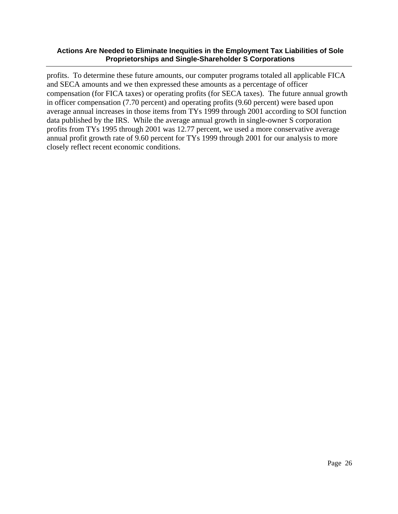profits. To determine these future amounts, our computer programs totaled all applicable FICA and SECA amounts and we then expressed these amounts as a percentage of officer compensation (for FICA taxes) or operating profits (for SECA taxes). The future annual growth in officer compensation (7.70 percent) and operating profits (9.60 percent) were based upon average annual increases in those items from TYs 1999 through 2001 according to SOI function data published by the IRS. While the average annual growth in single-owner S corporation profits from TYs 1995 through 2001 was 12.77 percent, we used a more conservative average annual profit growth rate of 9.60 percent for TYs 1999 through 2001 for our analysis to more closely reflect recent economic conditions.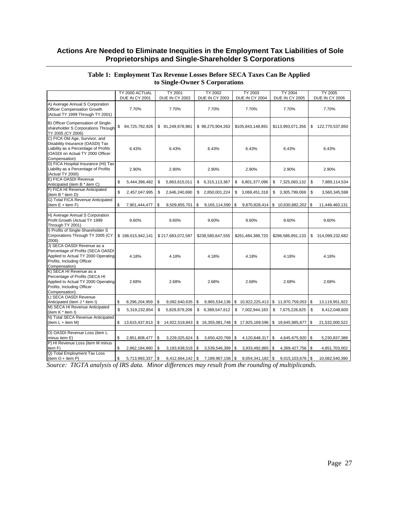|                                                                                                                                                                 | TY 2000 ACTUAL                       | <b>TY 2001</b>                             | <b>TY 2002</b>                             | <b>TY 2003</b>                                                             | <b>TY 2004</b>                                      | <b>TY 2005</b>                                |
|-----------------------------------------------------------------------------------------------------------------------------------------------------------------|--------------------------------------|--------------------------------------------|--------------------------------------------|----------------------------------------------------------------------------|-----------------------------------------------------|-----------------------------------------------|
|                                                                                                                                                                 | <b>DUE IN CY 2001</b>                | DUE IN CY 2002                             | <b>DUE IN CY 2003</b>                      | DUE IN CY 2004                                                             | <b>DUE IN CY 2005</b>                               | <b>DUE IN CY 2006</b>                         |
| A) Average Annual S Corporation<br>Officer Compensation Growth<br>(Actual TY 1999 Through TY 2001)                                                              | 7.70%                                | 7.70%                                      | 7.70%                                      | 7.70%                                                                      | 7.70%                                               | 7.70%                                         |
| B) Officer Compensation of Single-<br>shareholder S Corporations Through<br>TY 2005 (CY 2006)                                                                   | 84,725,792,926<br>\$                 | \$91,249,678,981                           | \$98,275,904,263                           | \$105,843,148,891                                                          | \$113,993,071,356                                   | \$<br>122,770,537,850                         |
| C) FICA Old Age, Survivor, and<br>Disability Insurance (OASDI) Tax<br>Liability as a Percentage of Profits<br>(OASDI on Actual TY 2000 Officer<br>Compensation) | 6.43%                                | 6.43%                                      | 6.43%                                      | 6.43%                                                                      | 6.43%                                               | 6.43%                                         |
| D) FICA Hospital Insurance (HI) Tax<br>Liability as a Percentage of Profits<br>(Actual TY 2000)                                                                 | 2.90%                                | 2.90%                                      | 2.90%                                      | 2.90%                                                                      | 2.90%                                               | 2.90%                                         |
| E) FICA OASDI Revenue<br>Anticipated (item B * item C)                                                                                                          | \$<br>5,444,396,482                  | \$<br>5,863,615,011                        | \$<br>6,315,113,367                        | \$ 6,801,377,096                                                           | \$7,325,083,132                                     | \$<br>7,889,114,534                           |
| F) FICA HI Revenue Anticipated<br>(item B * item D)                                                                                                             | \$<br>2,457,047,995                  | 2,646,240,690<br>\$                        | 2,850,001,224<br>\$                        | \$<br>3,069,451,318                                                        | \$<br>3,305,799,069                                 | \$<br>3,560,345,598                           |
| G) Total FICA Revenue Anticipated<br>(item $E +$ item $F$ )                                                                                                     | \$<br>7,901,444,477                  | \$<br>8,509,855,701                        | \$<br>9,165,114,590                        | \$<br>9,870,828,414                                                        | $$10,630,882,202$ \ \ \$                            | 11,449,460,131                                |
| H) Average Annual S Corporation<br>Profit Growth (Actual TY 1999<br>Through TY 2001)                                                                            | 9.60%                                | 9.60%                                      | 9.60%                                      | 9.60%                                                                      | 9.60%                                               | 9.60%                                         |
| I) Profits of Single-Shareholder S<br>Corporations Through TY 2005 (CY<br>2006)                                                                                 | \$198,615,942,141                    | \$217,683,072,587                          | \$238,580,647,555                          | \$261,484,389,720                                                          | \$286,586,891,133                                   | 314,099,232,682<br>\$                         |
| J) SECA OASDI Revenue as a<br>Percentage of Profits (SECA OASDI<br>Applied to Actual TY 2000 Operating<br>Profits, Including Officer<br>Compensation)           | 4.18%                                | 4.18%                                      | 4.18%                                      | 4.18%                                                                      | 4.18%                                               | 4.18%                                         |
| K) SECA HI Revenue as a<br>Percentage of Profits (SECA HI<br>Applied to Actual TY 2000 Operating<br>Profits, Including Officer<br>Compensation)                 | 2.68%                                | 2.68%                                      | 2.68%                                      | 2.68%                                                                      | 2.68%                                               | 2.68%                                         |
| L) SECA OASDI Revenue                                                                                                                                           | \$                                   |                                            |                                            |                                                                            |                                                     |                                               |
| Anticipated (item J * item I)<br>M) SECA HI Revenue Anticipated<br>(item K * item I)                                                                            | 8,296,204,959<br>\$<br>5,319,232,854 | \$<br>9,092,640,635<br>\$<br>5,829,879,208 | \$<br>9,965,534,136<br>\$<br>6,389,547,612 | \$<br>\$<br>7,002,944,183                                                  | 10,922,225,413 \$ 11,970,759,053<br>\$7,675,226,825 | l \$<br>13,119,951,922<br>\$<br>8,412,048,600 |
| N) Total SECA Revenue Anticipated<br>(item $L +$ item M)                                                                                                        | 13,615,437,813<br>\$                 | \$                                         |                                            | 14,922,519,843   \$ 16,355,081,748   \$ 17,925,169,596   \$ 19,645,985,877 |                                                     | 21,532,000,522<br>\$                          |
| O) OASDI Revenue Loss (item L<br>minus item E)                                                                                                                  | \$<br>2,851,808,477                  | \$<br>3,229,025,624                        | \$<br>3,650,420,769                        | \$<br>4,120,848,317 \$                                                     | 4,645,675,920 \$                                    | 5,230,837,388                                 |
| P) HI Revenue Loss (item M minus<br>item F)                                                                                                                     | \$<br>2,862,184,860                  | \$<br>$3,183,638,518$ \$                   | 3,539,546,389                              | \$<br>3,933,492,865 \$                                                     | 4,369,427,756 \$                                    | 4,851,703,002                                 |
| Q) Total Employment Tax Loss<br>$item O + item P)$                                                                                                              | \$<br>5,713,993,337                  | \$<br>6,412,664,142 \$                     | 7,189,967,158                              | \$<br>8,054,341,182 \$                                                     | 9,015,103,676 \$                                    | 10,082,540,390                                |

#### **Table 1: Employment Tax Revenue Losses Before SECA Taxes Can Be Applied to Single-Owner S Corporations**

*Source: TIGTA analysis of IRS data. Minor differences may result from the rounding of multiplicands.*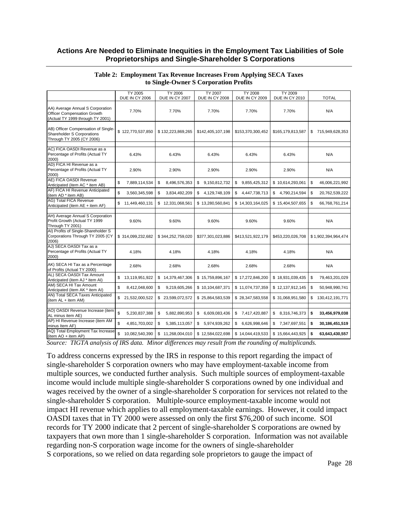|                                                                                                       | TY 2005<br>DUE IN CY 2006                                                | <b>TY 2006</b><br>DUE IN CY 2007 | <b>TY 2007</b><br>DUE IN CY 2008                | <b>TY 2008</b><br>DUE IN CY 2009                   | TY 2009<br><b>DUE IN CY 2010</b> | <b>TOTAL</b>          |
|-------------------------------------------------------------------------------------------------------|--------------------------------------------------------------------------|----------------------------------|-------------------------------------------------|----------------------------------------------------|----------------------------------|-----------------------|
|                                                                                                       |                                                                          |                                  |                                                 |                                                    |                                  |                       |
| AA) Average Annual S Corporation<br>Officer Compensation Growth<br>(Actual TY 1999 through TY 2001)   | 7.70%                                                                    | 7.70%                            | 7.70%                                           | 7.70%                                              | 7.70%                            | N/A                   |
| AB) Officer Compensation of Single-<br><b>Shareholder S Corporations</b><br>Through TY 2005 (CY 2006) | \$122,770,537,850                                                        | \$132,223,869,265                | \$142,405,107,198                               | \$153,370,300,452                                  | \$165,179,813,587                | 715,949,628,353<br>\$ |
| AC) FICA OASDI Revenue as a<br>Percentage of Profits (Actual TY<br>2000)                              | 6.43%                                                                    | 6.43%                            | 6.43%                                           | 6.43%                                              | 6.43%                            | N/A                   |
| AD) FICA HI Revenue as a<br>Percentage of Profits (Actual TY<br>2000)                                 | 2.90%                                                                    | 2.90%                            | 2.90%                                           | 2.90%                                              | 2.90%                            | N/A                   |
| AE) FICA OASDI Revenue<br>Anticipated (item AC * item AB)                                             | \$<br>7,889,114,534                                                      | 8,496,576,353<br>\$              | \$<br>9,150,812,732                             | \$<br>9,855,425,312                                | \$10,614,293,061                 | \$<br>46,006,221,992  |
| AF) FICA HI Revenue Anticipated<br>(item AD * item AB)                                                | \$<br>3,560,345,598                                                      | \$<br>3,834,492,209              | \$<br>4,129,748,109                             | 4,447,738,713<br>\$                                | \$4,790,214,594                  | \$<br>20,762,539,222  |
| AG) Total FICA Revenue<br>Anticipated (item AE + item AF)                                             | \$<br>11,449,460,131                                                     | \$12,331,068,561                 | \$13,280,560,841                                | \$14,303,164,025                                   | \$15,404,507,655                 | \$<br>66,768,761,214  |
| AH) Average Annual S Corporation<br>Profit Growth (Actual TY 1999<br>Through TY 2001)                 | 9.60%                                                                    | 9.60%                            | 9.60%                                           | 9.60%                                              | 9.60%                            | N/A                   |
| AI) Profits of Single-Shareholder S<br>Corporations Through TY 2005 (CY<br>2006)                      | \$314,099,232,682                                                        | \$344,252,759,020                | \$377,301,023,886                               | \$413,521,922,179                                  | \$453,220,026,708                | \$1,902,394,964,474   |
| AJ) SECA OASDI Tax as a<br>Percentage of Profits (Actual TY<br>2000)                                  | 4.18%                                                                    | 4.18%                            | 4.18%                                           | 4.18%                                              | 4.18%                            | N/A                   |
| AK) SECA HI Tax as a Percentage<br>of Profits (Actual TY 2000)                                        | 2.68%                                                                    | 2.68%                            | 2.68%                                           | 2.68%                                              | 2.68%                            | N/A                   |
| AL) SECA OASDI Tax Amount<br>Anticipated (item AJ * item AI)                                          | \$<br>13,119,951,922                                                     | \$14,379,467,306                 | \$15,759,896,167                                | \$17,272,846,200                                   | \$18,931,039,435                 | \$<br>79,463,201,029  |
| AM) SECA HI Tax Amount<br>Anticipated (item AK * item AI)                                             | \$<br>8,412,048,600                                                      | \$<br>9,219,605,266              | \$10,104,687,371                                | \$11,074,737,359                                   | \$12,137,912,145                 | \$<br>50,948,990,741  |
| AN) Total SECA Taxes Anticipated<br>(item AL + item AM)                                               | \$<br>21,532,000,522                                                     | \$23,599,072,572                 | \$25,864,583,539                                | \$28,347,583,558                                   | \$31,068,951,580                 | \$<br>130,412,191,771 |
|                                                                                                       |                                                                          |                                  |                                                 |                                                    |                                  |                       |
| AO) OASDI Revenue Increase (item<br>AL minus item AE)                                                 | $\mathbf{\hat{s}}$<br>5,230,837,388                                      | \$<br>5,882,890,953              | \$<br>6,609,083,436                             | \$7,417,420,887                                    | \$ 8,316,746,373                 | \$<br>33,456,979,038  |
| AP) HI Revenue Increase (item AM<br>minus Item AF)                                                    | \$<br>4,851,703,002                                                      | 5,385,113,057<br>\$              | 5,974,939,262<br>\$                             | \$<br>6,626,998,646                                | \$7,347,697,551                  | 30,186,451,519<br>\$  |
| AQ) Total Employment Tax Increase<br>(item AO + item AP)<br>$T_{\rm T}$<br>$\mathbf{r}$ .             | \$<br>10,082,540,390<br>$c \mathbf{r} \mathbf{n} \alpha$<br>$\mathbf{r}$ | \$11,268,004,010<br>1.00         | \$12,584,022,698<br>$\mathbf{r}$ . $\mathbf{r}$ | \$14.044.419.533<br>$\mathbf{r}$<br>$\mathbf{r}$ . | \$15,664,443,925<br>1.1.1.       | \$<br>63,643,430,557  |

#### **Table 2: Employment Tax Revenue Increases From Applying SECA Taxes to Single-Owner S Corporation Profits**

*Source: TIGTA analysis of IRS data. Minor differences may result from the rounding of multiplicands.* 

To address concerns expressed by the IRS in response to this report regarding the impact of single-shareholder S corporation owners who may have employment-taxable income from multiple sources, we conducted further analysis. Such multiple sources of employment-taxable income would include multiple single-shareholder S corporations owned by one individual and wages received by the owner of a single-shareholder S corporation for services not related to the single-shareholder S corporation. Multiple-source employment-taxable income would not impact HI revenue which applies to all employment-taxable earnings. However, it could impact OASDI taxes that in TY 2000 were assessed on only the first \$76,200 of such income. SOI records for TY 2000 indicate that 2 percent of single-shareholder S corporations are owned by taxpayers that own more than 1 single-shareholder S corporation. Information was not available regarding non-S corporation wage income for the owners of single-shareholder S corporations, so we relied on data regarding sole proprietors to gauge the impact of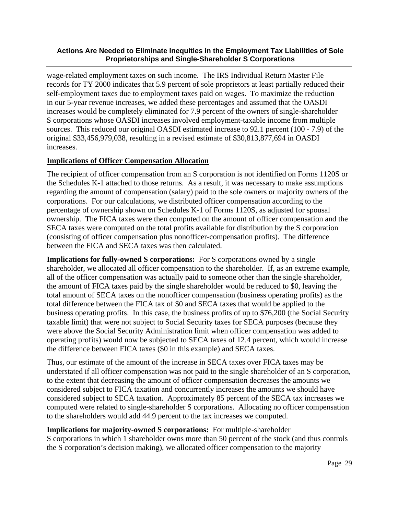wage-related employment taxes on such income. The IRS Individual Return Master File records for TY 2000 indicates that 5.9 percent of sole proprietors at least partially reduced their self-employment taxes due to employment taxes paid on wages. To maximize the reduction in our 5-year revenue increases, we added these percentages and assumed that the OASDI increases would be completely eliminated for 7.9 percent of the owners of single-shareholder S corporations whose OASDI increases involved employment-taxable income from multiple sources. This reduced our original OASDI estimated increase to 92.1 percent (100 - 7.9) of the original \$33,456,979,038, resulting in a revised estimate of \$30,813,877,694 in OASDI increases.

## **Implications of Officer Compensation Allocation**

The recipient of officer compensation from an S corporation is not identified on Forms 1120S or the Schedules K-1 attached to those returns. As a result, it was necessary to make assumptions regarding the amount of compensation (salary) paid to the sole owners or majority owners of the corporations. For our calculations, we distributed officer compensation according to the percentage of ownership shown on Schedules K-1 of Forms 1120S, as adjusted for spousal ownership. The FICA taxes were then computed on the amount of officer compensation and the SECA taxes were computed on the total profits available for distribution by the S corporation (consisting of officer compensation plus nonofficer-compensation profits). The difference between the FICA and SECA taxes was then calculated.

**Implications for fully-owned S corporations:** For S corporations owned by a single shareholder, we allocated all officer compensation to the shareholder. If, as an extreme example, all of the officer compensation was actually paid to someone other than the single shareholder, the amount of FICA taxes paid by the single shareholder would be reduced to \$0, leaving the total amount of SECA taxes on the nonofficer compensation (business operating profits) as the total difference between the FICA tax of \$0 and SECA taxes that would be applied to the business operating profits. In this case, the business profits of up to \$76,200 (the Social Security taxable limit) that were not subject to Social Security taxes for SECA purposes (because they were above the Social Security Administration limit when officer compensation was added to operating profits) would now be subjected to SECA taxes of 12.4 percent, which would increase the difference between FICA taxes (\$0 in this example) and SECA taxes.

Thus, our estimate of the amount of the increase in SECA taxes over FICA taxes may be understated if all officer compensation was not paid to the single shareholder of an S corporation, to the extent that decreasing the amount of officer compensation decreases the amounts we considered subject to FICA taxation and concurrently increases the amounts we should have considered subject to SECA taxation. Approximately 85 percent of the SECA tax increases we computed were related to single-shareholder S corporations. Allocating no officer compensation to the shareholders would add 44.9 percent to the tax increases we computed.

## **Implications for majority-owned S corporations:** For multiple-shareholder

S corporations in which 1 shareholder owns more than 50 percent of the stock (and thus controls the S corporation's decision making), we allocated officer compensation to the majority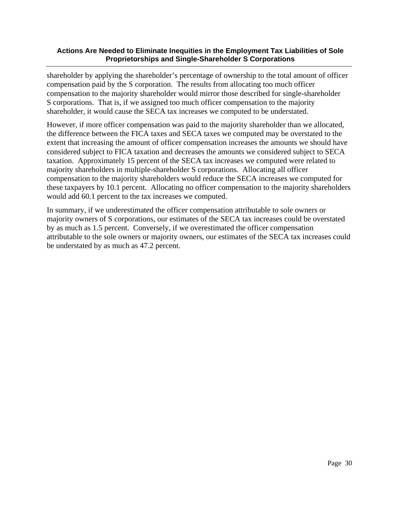shareholder by applying the shareholder's percentage of ownership to the total amount of officer compensation paid by the S corporation. The results from allocating too much officer compensation to the majority shareholder would mirror those described for single-shareholder S corporations. That is, if we assigned too much officer compensation to the majority shareholder, it would cause the SECA tax increases we computed to be understated.

However, if more officer compensation was paid to the majority shareholder than we allocated, the difference between the FICA taxes and SECA taxes we computed may be overstated to the extent that increasing the amount of officer compensation increases the amounts we should have considered subject to FICA taxation and decreases the amounts we considered subject to SECA taxation. Approximately 15 percent of the SECA tax increases we computed were related to majority shareholders in multiple-shareholder S corporations. Allocating all officer compensation to the majority shareholders would reduce the SECA increases we computed for these taxpayers by 10.1 percent. Allocating no officer compensation to the majority shareholders would add 60.1 percent to the tax increases we computed.

In summary, if we underestimated the officer compensation attributable to sole owners or majority owners of S corporations, our estimates of the SECA tax increases could be overstated by as much as 1.5 percent. Conversely, if we overestimated the officer compensation attributable to the sole owners or majority owners, our estimates of the SECA tax increases could be understated by as much as 47.2 percent.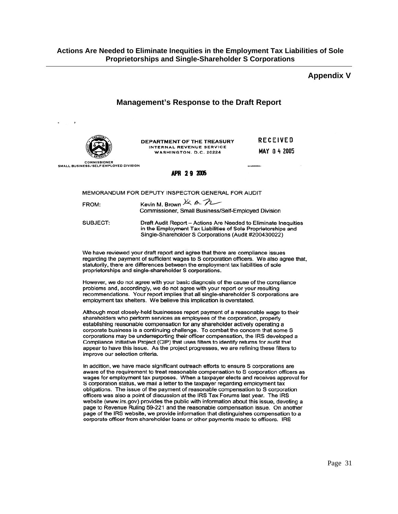#### **Appendix V**

### **Management's Response to the Draft Report**



DEPARTMENT OF THE TREASURY INTERNAL REVENUE SERVICE WASHINGTON, D.C. 20224

**RECEIVED** MAY 04 2005

**COMMISSIONER** SMALL BUSINESS/SELF-EMPLOYED DIVISION

#### APR 29 2005

MEMORANDUM FOR DEPUTY INSPECTOR GENERAL FOR AUDIT

| FROM: | Kevin M. Brown $\overline{\mathcal{K}}$ h. $\overline{\mathcal{K}}$ |  |  |  |
|-------|---------------------------------------------------------------------|--|--|--|
|       | Commissioner, Small Business/Self-Employed Division                 |  |  |  |

SUBJECT: Draft Audit Report - Actions Are Needed to Eliminate Inequities in the Employment Tax Liabilities of Sole Proprietorships and Single-Shareholder S Corporations (Audit #200430022)

We have reviewed your draft report and agree that there are compliance issues regarding the payment of sufficient wages to S corporation officers. We also agree that, statutorily, there are differences between the employment tax liabilities of sole proprietorships and single-shareholder S corporations.

However, we do not agree with your basic diagnosis of the cause of the compliance problems and, accordingly, we do not agree with your report or your resulting recommendations. Your report implies that all single-shareholder S corporations are employment tax shelters. We believe this implication is overstated.

Although most closely-held businesses report payment of a reasonable wage to their shareholders who perform services as employees of the corporation, properly establishing reasonable compensation for any shareholder actively operating a corporate business is a continuing challenge. To combat the concern that some S corporations may be underreporting their officer compensation, the IRS developed a Compliance Initiative Project (CIP) that uses filters to identify returns for audit that appear to have this issue. As the project progresses, we are refining these filters to improve our selection criteria.

In addition, we have made significant outreach efforts to ensure S corporations are aware of the requirement to treat reasonable compensation to S corporation officers as wages for employment tax purposes. When a taxpayer elects and receives approval for S corporation status, we mail a letter to the taxpayer regarding employment tax obligations. The issue of the payment of reasonable compensation to S corporation officers was also a point of discussion at the IRS Tax Forums last year. The IRS website (www.irs.gov) provides the public with information about this issue, devoting a page to Revenue Ruling 59-221 and the reasonable compensation issue. On another page of the IRS website, we provide information that distinguishes compensation to a corporate officer from shareholder loans or other payments made to officers. IRS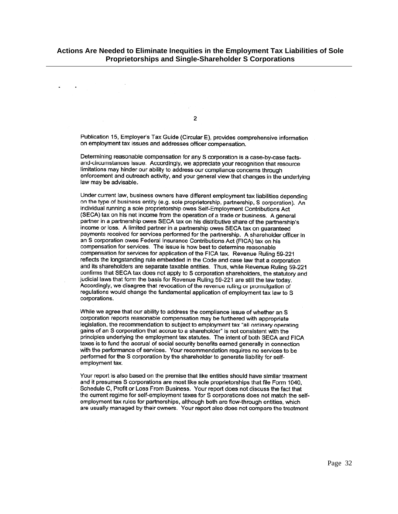$\overline{2}$ 

 $\ddot{\phantom{a}}$ 

Publication 15, Employer's Tax Guide (Circular E), provides comprehensive information on employment tax issues and addresses officer compensation.

Determining reasonable compensation for any S corporation is a case-by-case factsand-circumstances issue. Accordingly, we appreciate your recognition that resource limitations may hinder our ability to address our compliance concerns through enforcement and outreach activity, and your general view that changes in the underlying law may be advisable.

Under current law, business owners have different employment tax liabilities depending on the type of business entity (e.g. sole proprietorship, partnership, S corporation). An individual running a sole proprietorship owes Self-Employment Contributions Act (SECA) tax on his net income from the operation of a trade or business. A general partner in a partnership owes SECA tax on his distributive share of the partnership's income or loss. A limited partner in a partnership owes SECA tax on guaranteed payments received for services performed for the partnership. A shareholder officer in an S corporation owes Federal Insurance Contributions Act (FICA) tax on his compensation for services. The issue is how best to determine reasonable compensation for services for application of the FICA tax. Revenue Ruling 59-221 reflects the longstanding rule embedded in the Code and case law that a corporation and its shareholders are separate taxable entities. Thus, while Revenue Ruling 59-221 confirms that SECA tax does not apply to S corporation shareholders, the statutory and judicial laws that form the basis for Revenue Ruling 59-221 are still the law today. Accordingly, we disagree that revocation of the revenue ruling or promulgation of regulations would change the fundamental application of employment tax law to S corporations.

While we agree that our ability to address the compliance issue of whether an S corporation reports reasonable compensation may be furthered with appropriate legislation, the recommendation to subject to employment tax "all ordinary operating gains of an S corporation that accrue to a shareholder" is not consistent with the principles underlying the employment tax statutes. The intent of both SECA and FICA taxes is to fund the accrual of social security benefits earned generally in connection with the performance of services. Your recommendation requires no services to be performed for the S corporation by the shareholder to generate liability for selfemployment tax.

Your report is also based on the premise that like entities should have similar treatment and it presumes S corporations are most like sole proprietorships that file Form 1040, Schedule C, Profit or Loss From Business. Your report does not discuss the fact that the current regime for self-employment taxes for S corporations does not match the selfemployment tax rules for partnerships, although both are flow-through entities, which are usually managed by their owners. Your report also does not compare the treatment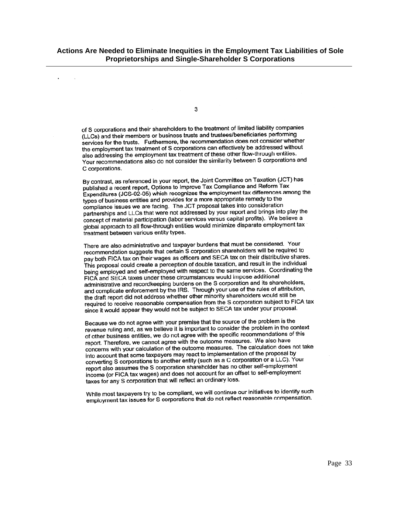3

 $\sim$ 

of S corporations and their shareholders to the treatment of limited liability companies (LLCs) and their members or business trusts and trustees/beneficiaries performing services for the trusts. Furthermore, the recommendation does not consider whether the employment tax treatment of S corporations can effectively be addressed without also addressing the employment tax treatment of these other flow-through entities. Your recommendations also do not consider the similarity between S corporations and C corporations.

By contrast, as referenced in your report, the Joint Committee on Taxation (JCT) has published a recent report, Options to Improve Tax Compliance and Reform Tax Expenditures (JCS-02-05) which recognizes the employment tax differences among the types of business entities and provides for a more appropriate remedy to the compliance issues we are facing. The JCT proposal takes into consideration partnerships and LLCs that were not addressed by your report and brings into play the concept of material participation (labor services versus capital profits). We believe a global approach to all flow-through entities would minimize disparate employment tax treatment between various entity types.

There are also administrative and taxpayer burdens that must be considered. Your recommendation suggests that certain S corporation shareholders will be required to pay both FICA tax on their wages as officers and SECA tax on their distributive shares. This proposal could create a perception of double taxation, and result in the individual being employed and self-employed with respect to the same services. Coordinating the FICA and SECA taxes under these circumstances would impose additional administrative and recordkeeping burdens on the S corporation and its shareholders, administrative and recordite physical control of the rules of attribution, the draft report did not address whether other minority shareholders would still be required to receive reasonable compensation from the S corporation subject to FICA tax since it would appear they would not be subject to SECA tax under your proposal.

Because we do not agree with your premise that the source of the problem is the revenue ruling and, as we believe it is important to consider the problem in the context of other business entities, we do not agree with the specific recommendations of this report. Therefore, we cannot agree with the outcome measures. We also have concerns with your calculation of the outcome measures. The calculation does not take into account that some taxpayers may react to implementation of the proposal by into account that some taxpayers may react to impromotation or a LLC). Your<br>converting S corporations to another entity (such as a C corporation or a LLC). Your report also assumes the S corporation shareholder has no other self-employment income (or FICA tax wages) and does not account for an offset to self-employment taxes for any S corporation that will reflect an ordinary loss.

While most taxpayers try to be compliant, we will continue our initiatives to identify such employment tax issues for S corporations that do not reflect reasonable compensation.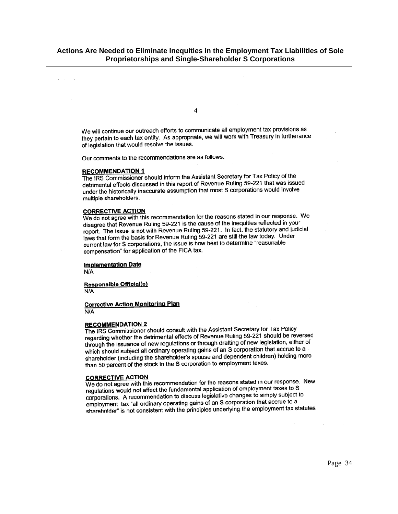$\overline{a}$ 

We will continue our outreach efforts to communicate all employment tax provisions as they pertain to each tax entity. As appropriate, we will work with Treasury in furtherance of legislation that would resolve the issues.

Our comments to the recommendations are as follows:

#### **RECOMMENDATION 1**

The IRS Commissioner should inform the Assistant Secretary for Tax Policy of the detrimental effects discussed in this report of Revenue Ruling 59-221 that was issued under the historically inaccurate assumption that most S corporations would involve multiple shareholders.

#### **CORRECTIVE ACTION**

We do not agree with this recommendation for the reasons stated in our response. We disagree that Revenue Ruling 59-221 is the cause of the inequities reflected in your report. The issue is not with Revenue Ruling 59-221. In fact, the statutory and judicial laws that form the basis for Revenue Ruling 59-221 are still the law today. Under current law for S corporations, the issue is how best to determine "reasonable compensation" for application of the FICA tax.

#### **Implementation Date**

 $N/A$ 

**Responsible Official(s)** N/A

#### **Corrective Action Monitoring Plan** N/A

#### **RECOMMENDATION 2**

The IRS Commissioner should consult with the Assistant Secretary for Tax Policy re incontribution of the term and the research of the incontent of the incontent of the reversed through the issuance of new regulations or through drafting of new legislation, either of which should subject all ordinary operating gains of an S corporation that accrue to a shareholder (including the shareholder's spouse and dependent children) holding more than 50 percent of the stock in the S corporation to employment taxes.

#### **CORRECTIVE ACTION**

We do not agree with this recommendation for the reasons stated in our response. New regulations would not affect the fundamental application of employment taxes to S corporations. A recommendation to discuss legislative changes to simply subject to employment tax "all ordinary operating gains of an S corporation that accrue to a shareholder" is not consistent with the principles underlying the employment tax statutes